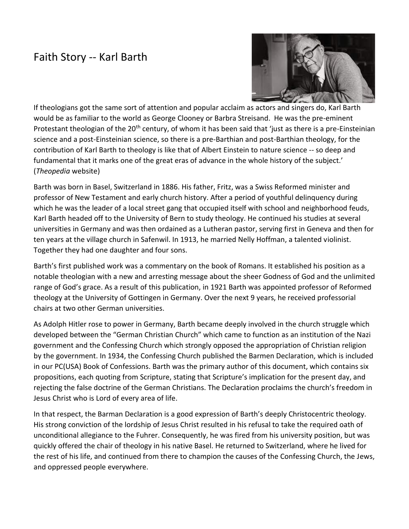## Faith Story -- Karl Barth



If theologians got the same sort of attention and popular acclaim as actors and singers do, Karl Barth would be as familiar to the world as George Clooney or Barbra Streisand. He was the pre-eminent Protestant theologian of the 20<sup>th</sup> century, of whom it has been said that 'just as there is a pre-Einsteinian science and a post-Einsteinian science, so there is a pre-Barthian and post-Barthian theology, for the contribution of Karl Barth to theology is like that of Albert Einstein to nature science -- so deep and fundamental that it marks one of the great eras of advance in the whole history of the subject.' (*Theopedia* website)

Barth was born in Basel, Switzerland in 1886. His father, Fritz, was a Swiss Reformed minister and professor of New Testament and early church history. After a period of youthful delinquency during which he was the leader of a local street gang that occupied itself with school and neighborhood feuds, Karl Barth headed off to the University of Bern to study theology. He continued his studies at several universities in Germany and was then ordained as a Lutheran pastor, serving first in Geneva and then for ten years at the village church in Safenwil. In 1913, he married Nelly Hoffman, a talented violinist. Together they had one daughter and four sons.

Barth's first published work was a commentary on the book of Romans. It established his position as a notable theologian with a new and arresting message about the sheer Godness of God and the unlimited range of God's grace. As a result of this publication, in 1921 Barth was appointed professor of Reformed theology at the University of Gottingen in Germany. Over the next 9 years, he received professorial chairs at two other German universities.

As Adolph Hitler rose to power in Germany, Barth became deeply involved in the church struggle which developed between the "German Christian Church" which came to function as an institution of the Nazi government and the Confessing Church which strongly opposed the appropriation of Christian religion by the government. In 1934, the Confessing Church published the Barmen Declaration, which is included in our PC(USA) Book of Confessions. Barth was the primary author of this document, which contains six propositions, each quoting from Scripture, stating that Scripture's implication for the present day, and rejecting the false doctrine of the German Christians. The Declaration proclaims the church's freedom in Jesus Christ who is Lord of every area of life.

In that respect, the Barman Declaration is a good expression of Barth's deeply Christocentric theology. His strong conviction of the lordship of Jesus Christ resulted in his refusal to take the required oath of unconditional allegiance to the Fuhrer. Consequently, he was fired from his university position, but was quickly offered the chair of theology in his native Basel. He returned to Switzerland, where he lived for the rest of his life, and continued from there to champion the causes of the Confessing Church, the Jews, and oppressed people everywhere.